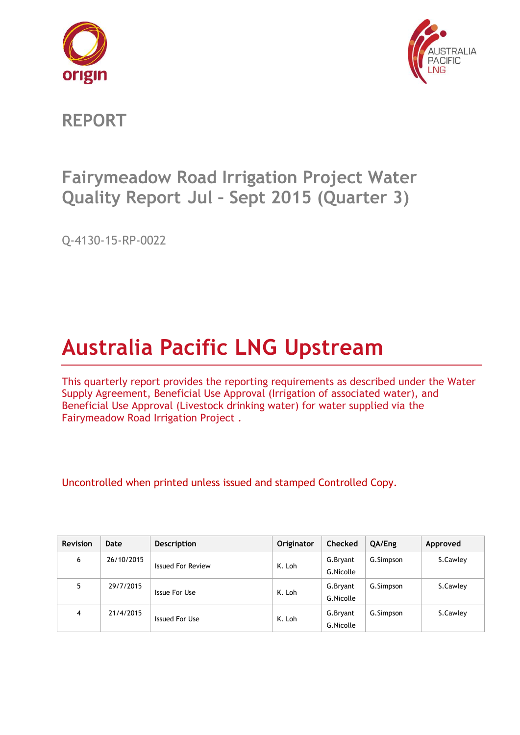



**REPORT**

# **Fairymeadow Road Irrigation Project Water Quality Report Jul – Sept 2015 (Quarter 3)**

Q-4130-15-RP-0022

# **Australia Pacific LNG Upstream**

This quarterly report provides the reporting requirements as described under the Water Supply Agreement, Beneficial Use Approval (Irrigation of associated water), and Beneficial Use Approval (Livestock drinking water) for water supplied via the Fairymeadow Road Irrigation Project .

Uncontrolled when printed unless issued and stamped Controlled Copy.

| <b>Revision</b> | Date       | <b>Description</b>       | <b>Originator</b> | <b>Checked</b> | QA/Eng    | Approved |
|-----------------|------------|--------------------------|-------------------|----------------|-----------|----------|
| 6               | 26/10/2015 | <b>Issued For Review</b> | K. Loh            | G.Bryant       | G.Simpson | S.Cawley |
|                 |            |                          |                   | G.Nicolle      |           |          |
| 5               | 29/7/2015  |                          |                   | G.Bryant       | G.Simpson | S.Cawley |
|                 |            | Issue For Use            | K. Loh            | G.Nicolle      |           |          |
| 4               | 21/4/2015  |                          |                   | G.Bryant       | G.Simpson | S.Cawley |
|                 |            | Issued For Use           | K. Loh            | G.Nicolle      |           |          |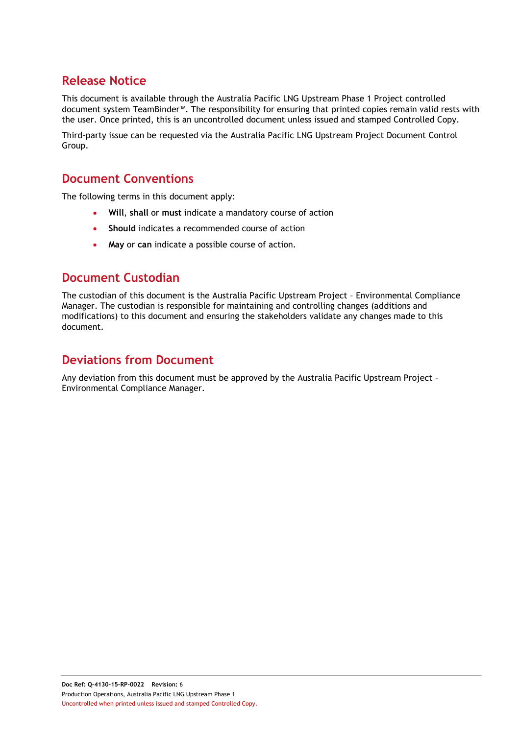### **Release Notice**

This document is available through the Australia Pacific LNG Upstream Phase 1 Project controlled document system TeamBinder™. The responsibility for ensuring that printed copies remain valid rests with the user. Once printed, this is an uncontrolled document unless issued and stamped Controlled Copy.

Third-party issue can be requested via the Australia Pacific LNG Upstream Project Document Control Group.

#### **Document Conventions**

The following terms in this document apply:

- **Will**, **shall** or **must** indicate a mandatory course of action
- **Should** indicates a recommended course of action
- **May** or **can** indicate a possible course of action.

#### **Document Custodian**

The custodian of this document is the Australia Pacific Upstream Project – Environmental Compliance Manager. The custodian is responsible for maintaining and controlling changes (additions and modifications) to this document and ensuring the stakeholders validate any changes made to this document.

### **Deviations from Document**

Any deviation from this document must be approved by the Australia Pacific Upstream Project – Environmental Compliance Manager.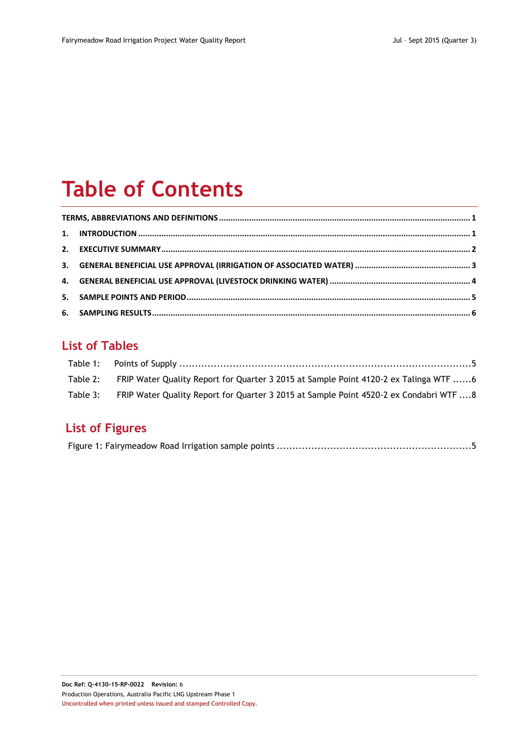# **Table of Contents**

## **List of Tables**

| Table 2: FRIP Water Quality Report for Quarter 3 2015 at Sample Point 4120-2 ex Talinga WTF 6   |  |
|-------------------------------------------------------------------------------------------------|--|
| Table 3: FRIP Water Quality Report for Quarter 3 2015 at Sample Point 4520-2 ex Condabri WTF  8 |  |

# **List of Figures**

|--|--|--|--|--|--|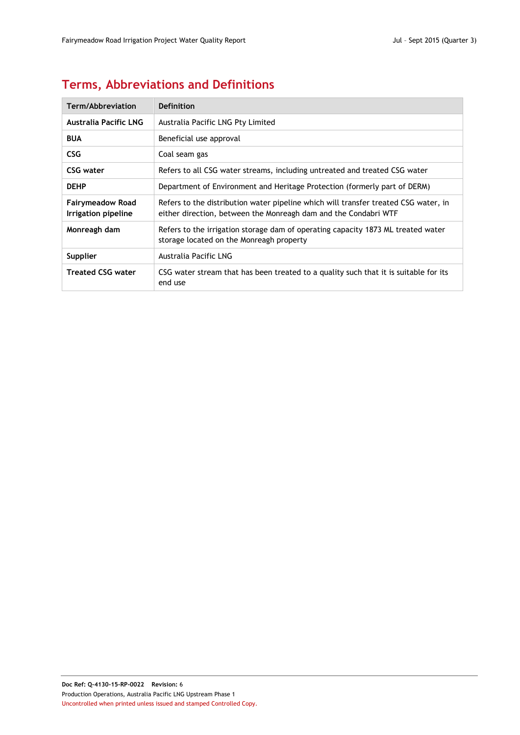# <span id="page-3-0"></span>**Terms, Abbreviations and Definitions**

| Term/Abbreviation                              | Definition                                                                                                                                             |
|------------------------------------------------|--------------------------------------------------------------------------------------------------------------------------------------------------------|
| <b>Australia Pacific LNG</b>                   | Australia Pacific LNG Pty Limited                                                                                                                      |
| <b>BUA</b>                                     | Beneficial use approval                                                                                                                                |
| CSG.                                           | Coal seam gas                                                                                                                                          |
| CSG water                                      | Refers to all CSG water streams, including untreated and treated CSG water                                                                             |
| <b>DEHP</b>                                    | Department of Environment and Heritage Protection (formerly part of DERM)                                                                              |
| <b>Fairymeadow Road</b><br>Irrigation pipeline | Refers to the distribution water pipeline which will transfer treated CSG water, in<br>either direction, between the Monreagh dam and the Condabri WTF |
| Monreagh dam                                   | Refers to the irrigation storage dam of operating capacity 1873 ML treated water<br>storage located on the Monreagh property                           |
| Supplier                                       | Australia Pacific LNG                                                                                                                                  |
| <b>Treated CSG water</b>                       | CSG water stream that has been treated to a quality such that it is suitable for its<br>end use                                                        |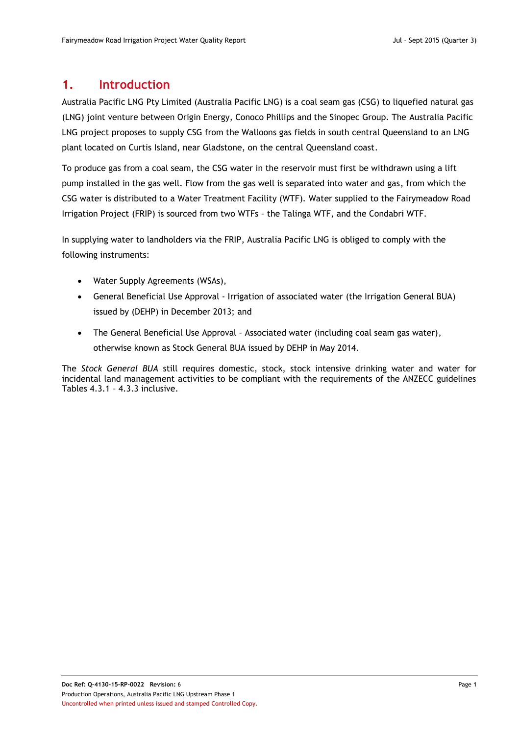#### <span id="page-4-0"></span>**1. Introduction**

Australia Pacific LNG Pty Limited (Australia Pacific LNG) is a coal seam gas (CSG) to liquefied natural gas (LNG) joint venture between Origin Energy, Conoco Phillips and the Sinopec Group. The Australia Pacific LNG project proposes to supply CSG from the Walloons gas fields in south central Queensland to an LNG plant located on Curtis Island, near Gladstone, on the central Queensland coast.

To produce gas from a coal seam, the CSG water in the reservoir must first be withdrawn using a lift pump installed in the gas well. Flow from the gas well is separated into water and gas, from which the CSG water is distributed to a Water Treatment Facility (WTF). Water supplied to the Fairymeadow Road Irrigation Project (FRIP) is sourced from two WTFs – the Talinga WTF, and the Condabri WTF.

In supplying water to landholders via the FRIP, Australia Pacific LNG is obliged to comply with the following instruments:

- Water Supply Agreements (WSAs),
- General Beneficial Use Approval Irrigation of associated water (the Irrigation General BUA) issued by (DEHP) in December 2013; and
- The General Beneficial Use Approval Associated water (including coal seam gas water), otherwise known as Stock General BUA issued by DEHP in May 2014.

The *Stock General BUA* still requires domestic, stock, stock intensive drinking water and water for incidental land management activities to be compliant with the requirements of the ANZECC guidelines Tables 4.3.1 – 4.3.3 inclusive.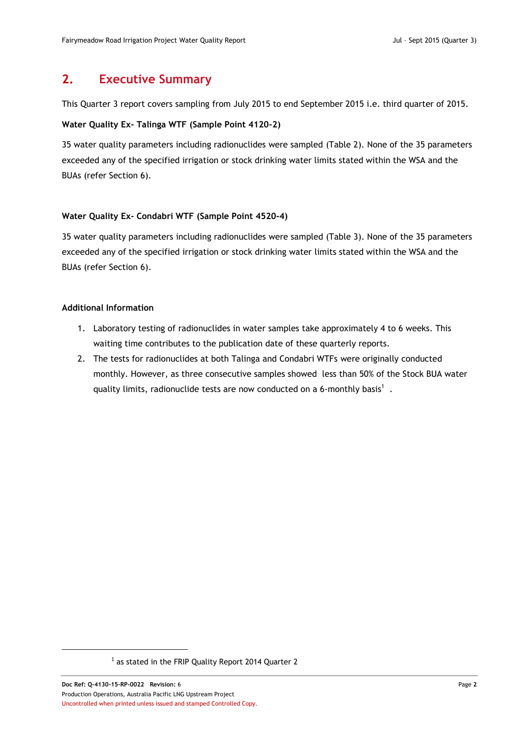#### <span id="page-5-0"></span>**2. Executive Summary**

This Quarter 3 report covers sampling from July 2015 to end September 2015 i.e. third quarter of 2015.

#### **Water Quality Ex- Talinga WTF (Sample Point 4120-2)**

35 water quality parameters including radionuclides were sampled [\(Table 2\)](#page-9-1). None of the 35 parameters exceeded any of the specified irrigation or stock drinking water limits stated within the WSA and the BUAs (refer Section [6\)](#page-9-0).

#### **Water Quality Ex- Condabri WTF (Sample Point 4520-4)**

35 water quality parameters including radionuclides were sampled [\(Table 3\)](#page-11-0). None of the 35 parameters exceeded any of the specified irrigation or stock drinking water limits stated within the WSA and the BUAs (refer Section [6\)](#page-9-0).

#### **Additional Information**

- 1. Laboratory testing of radionuclides in water samples take approximately 4 to 6 weeks. This waiting time contributes to the publication date of these quarterly reports.
- 2. The tests for radionuclides at both Talinga and Condabri WTFs were originally conducted monthly. However, as three consecutive samples showed less than 50% of the Stock BUA water quality limits, radionuclide tests are now conducted on a 6-monthly basis<sup>1</sup>.

 $\overline{a}$ 

 $<sup>1</sup>$  as stated in the FRIP Quality Report 2014 Quarter 2</sup>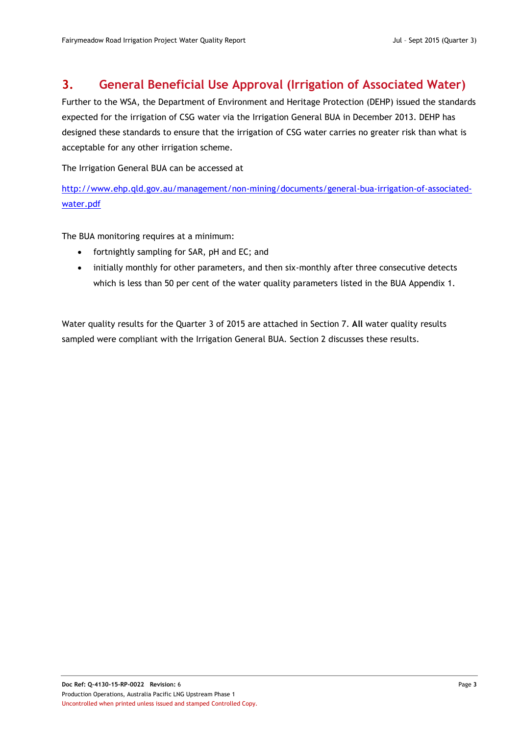#### <span id="page-6-0"></span>**3. General Beneficial Use Approval (Irrigation of Associated Water)**

Further to the WSA, the Department of Environment and Heritage Protection (DEHP) issued the standards expected for the irrigation of CSG water via the Irrigation General BUA in December 2013. DEHP has designed these standards to ensure that the irrigation of CSG water carries no greater risk than what is acceptable for any other irrigation scheme.

The Irrigation General BUA can be accessed at

[http://www.ehp.qld.gov.au/management/non-mining/documents/general-bua-irrigation-of-associated](http://www.ehp.qld.gov.au/management/non-mining/documents/general-bua-irrigation-of-associated-water.pdf)[water.pdf](http://www.ehp.qld.gov.au/management/non-mining/documents/general-bua-irrigation-of-associated-water.pdf)

The BUA monitoring requires at a minimum:

- fortnightly sampling for SAR, pH and EC; and
- initially monthly for other parameters, and then six-monthly after three consecutive detects which is less than 50 per cent of the water quality parameters listed in the BUA Appendix 1.

Water quality results for the Quarter 3 of 2015 are attached in Section 7. **All** water quality results sampled were compliant with the Irrigation General BUA. Section [2](#page-5-0) discusses these results.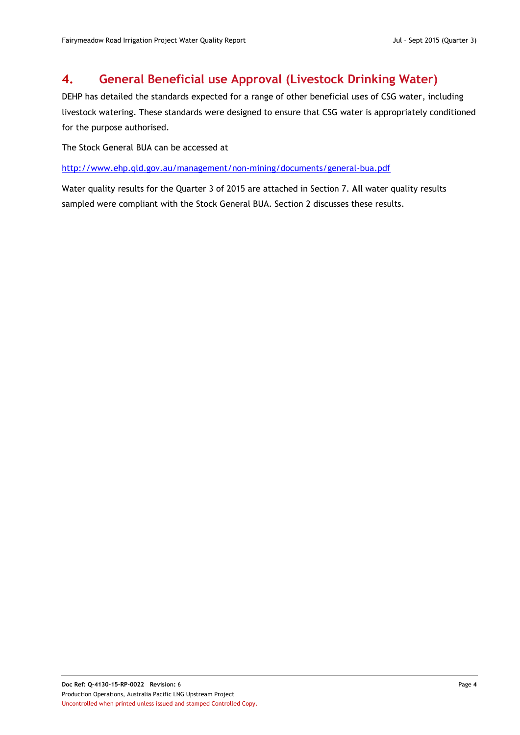### <span id="page-7-0"></span>**4. General Beneficial use Approval (Livestock Drinking Water)**

DEHP has detailed the standards expected for a range of other beneficial uses of CSG water, including livestock watering. These standards were designed to ensure that CSG water is appropriately conditioned for the purpose authorised.

The Stock General BUA can be accessed at

<http://www.ehp.qld.gov.au/management/non-mining/documents/general-bua.pdf>

Water quality results for the Quarter 3 of 2015 are attached in Section 7. **All** water quality results sampled were compliant with the Stock General BUA. Section [2](#page-5-0) discusses these results.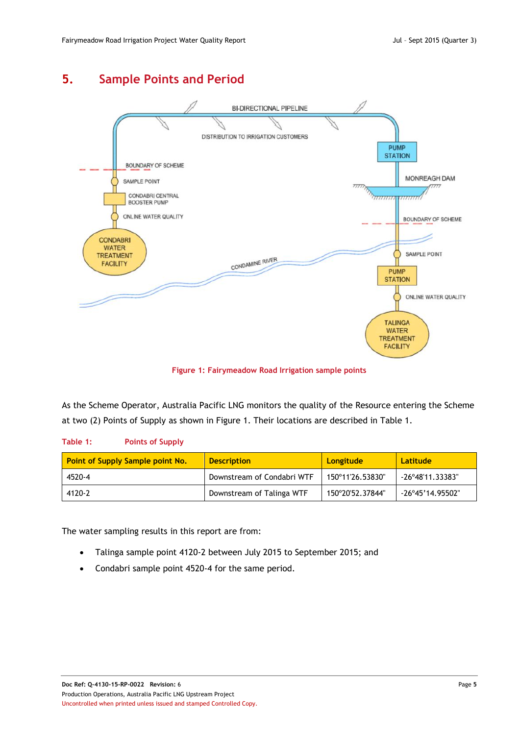## <span id="page-8-0"></span>**5. Sample Points and Period**



**Figure 1: Fairymeadow Road Irrigation sample points**

<span id="page-8-2"></span>As the Scheme Operator, Australia Pacific LNG monitors the quality of the Resource entering the Scheme at two (2) Points of Supply as shown in [Figure 1.](#page-8-2) Their locations are described in [Table 1.](#page-8-1)

#### <span id="page-8-1"></span>**Table 1: Points of Supply**

| <b>Point of Supply Sample point No.</b> | <b>Description</b>         | Longitude        | Latitude                  |
|-----------------------------------------|----------------------------|------------------|---------------------------|
| 4520-4                                  | Downstream of Condabri WTF | 150°11'26.53830" | $-26^{\circ}48'11.33383"$ |
| 4120-2                                  | Downstream of Talinga WTF  | 150°20'52.37844" | -26°45'14.95502"          |

The water sampling results in this report are from:

- Talinga sample point 4120-2 between July 2015 to September 2015; and
- Condabri sample point 4520-4 for the same period.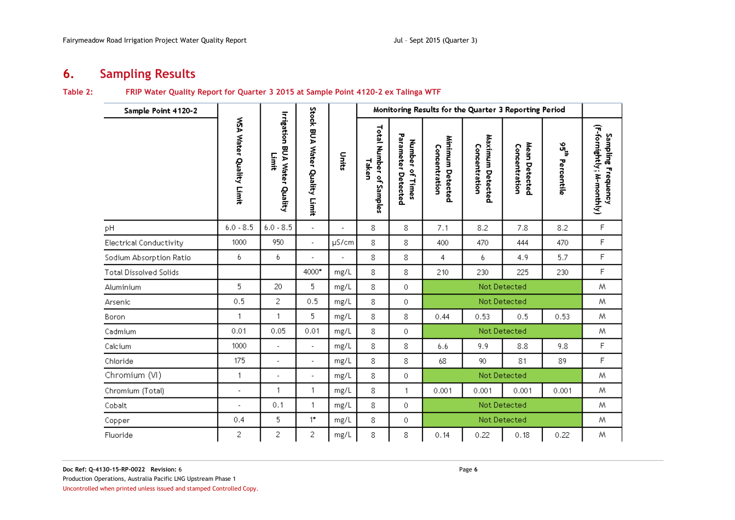## **6. Sampling Results**

#### **Table 2: FRIP Water Quality Report for Quarter 3 2015 at Sample Point 4120-2 ex Talinga WTF**

<span id="page-9-0"></span>

| Sample Point 4120-2            |                          |                                              |                               |                          |                                     |                                                    | Monitoring Results for the Quarter 3 Reporting Period |                                   |                                |                  |                                                 |
|--------------------------------|--------------------------|----------------------------------------------|-------------------------------|--------------------------|-------------------------------------|----------------------------------------------------|-------------------------------------------------------|-----------------------------------|--------------------------------|------------------|-------------------------------------------------|
|                                | WSA Water Quality Limit  | <b>Irrigation BUA Water Quality</b><br>Limit | Stock BUA Water Quality Limit | Units                    | Total Number of<br>Taken<br>Samples | Parameter<br><b>Number</b><br>of Times<br>Detected | Minimum<br>Concentration<br>Detected                  | Maximum Detected<br>Concentration | Mean Detected<br>Concentration | ងូ<br>Percentile | (F-fornightly; M-monthly)<br>Sampling Frequency |
| рH                             | $6.0 - 8.5$              | $6.0 - 8.5$                                  | $\mathcal{L}$                 | $\overline{\phantom{a}}$ | 8                                   | 8                                                  | 7.1                                                   | 8.2                               | 7.8                            | 8.2              | F                                               |
| <b>Electrical Conductivity</b> | 1000                     | 950                                          | $\overline{\phantom{a}}$      | $\mu$ S/cm               | 8                                   | 8                                                  | 400                                                   | 470                               | 444                            | 470              | F                                               |
| Sodium Absorption Ratio        | 6                        | 6                                            | $\overline{\phantom{a}}$      | $\overline{\phantom{a}}$ | 8                                   | 8                                                  | 4                                                     | 6                                 | 4.9                            | 5.7              | F                                               |
| <b>Total Dissolved Solids</b>  |                          |                                              | 4000*                         | mg/L                     | 8                                   | 8                                                  | 210                                                   | 230                               | 225                            | 230              | F                                               |
| Aluminium                      | 5                        | 20                                           | 5                             | mg/L                     | 8                                   | $\theta$                                           |                                                       |                                   | Not Detected                   |                  | Μ                                               |
| Arsenic                        | 0.5                      | 2                                            | 0.5                           | $mg/L$                   | 8                                   | $\mathbf 0$                                        |                                                       |                                   | Not Detected                   |                  | Μ                                               |
| Boron                          | $\mathbf{1}$             | 1                                            | 5                             | mg/L                     | 8                                   | 8                                                  | 0.44                                                  | 0.53                              | 0.5                            | 0.53             | Μ                                               |
| Cadmium                        | 0.01                     | 0.05                                         | 0.01                          | mg/L                     | 8                                   | 0                                                  |                                                       |                                   | Not Detected                   |                  | Μ                                               |
| Calcium                        | 1000                     | $\overline{a}$                               | $\mathcal{L}_{\mathcal{A}}$   | mg/L                     | 8                                   | 8                                                  | 6.6                                                   | 9.9                               | 8.8                            | 9.8              | F                                               |
| Chloride                       | 175                      | $\overline{a}$                               | $\overline{\phantom{a}}$      | mg/L                     | 8                                   | 8                                                  | 68                                                    | 90                                | 81                             | 89               | F                                               |
| Chromium (VI)                  | 1                        | $\overline{a}$                               | ä,                            | mg/L                     | 8                                   | 0                                                  | Not Detected                                          |                                   |                                |                  | M                                               |
| Chromium (Total)               | $\overline{\phantom{a}}$ | 1                                            | 1                             | mg/L                     | 8                                   | 1                                                  | 0.001                                                 | 0.001                             | 0.001                          | 0.001            | M                                               |
| Cobalt                         | $\blacksquare$           | 0.1                                          | $\mathbf{1}$                  | mg/L                     | 8                                   | $\circ$                                            |                                                       |                                   | Not Detected                   |                  | M                                               |
| Copper                         | 0.4                      | 5                                            | $1^{\star}$                   | mg/L                     | 8                                   | 0                                                  |                                                       |                                   | Not Detected                   |                  | Μ                                               |
| Fluoride                       | 2                        | $\overline{c}$                               | 2                             | mg/L                     | 8                                   | 8                                                  | 0.14                                                  | 0.22                              | 0.18                           | 0.22             | Μ                                               |

<span id="page-9-1"></span>Uncontrolled when printed unless issued and stamped Controlled Copy.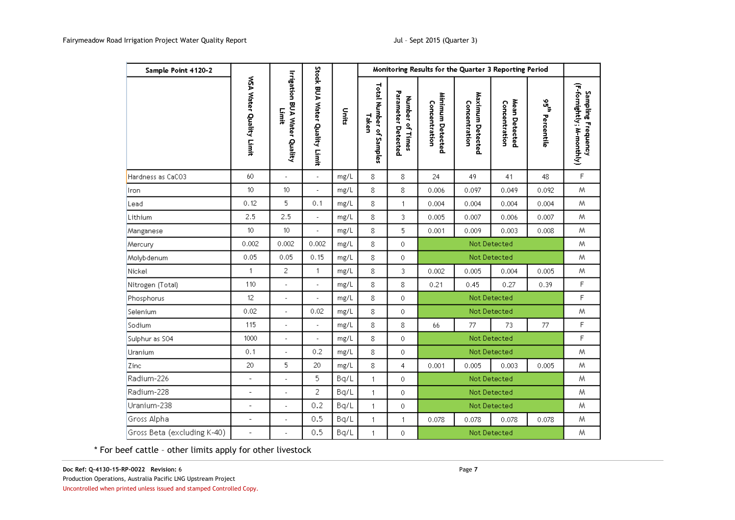| Sample Point 4120-2         |                          |                                              |                               |                   |                                  |                                       | Monitoring Results for the Quarter 3 Reporting Period |                                   |                                |                  |                                                 |
|-----------------------------|--------------------------|----------------------------------------------|-------------------------------|-------------------|----------------------------------|---------------------------------------|-------------------------------------------------------|-----------------------------------|--------------------------------|------------------|-------------------------------------------------|
|                             | WSA Water Quality Limit  | <b>Irrigation BUA Water Quality</b><br>Limit | Stock BUA Water Quality Limit | ى <del>ل</del> ىڭ | Total Number of Samples<br>Taken | Parameter Detected<br>Number of Times | Minimum Detected<br>Concentration                     | Maximum Detected<br>Concentration | Mean Detected<br>Concentration | ងូ<br>Percentile | (F-fornightly; M-monthly)<br>Sampling Frequency |
| Hardness as CaCO3           | 60                       | ÷,                                           | ä,                            | mg/L              | 8                                | 8                                     | 24                                                    | 49                                | 41                             | 48               | F                                               |
| Iron                        | 10                       | 10                                           |                               | mg/L              | 8                                | 8                                     | 0.006                                                 | 0.097                             | 0.049                          | 0.092            | W.                                              |
| Lead                        | 0.12                     | 5                                            | 0.1                           | mg/L              | 8                                | $\mathbf{1}$                          | 0.004                                                 | 0.004                             | 0.004                          | 0.004            | W.                                              |
| Lithium                     | 2.5                      | 2.5                                          | $\overline{\phantom{a}}$      | mg/L              | 8                                | 3                                     | 0.005                                                 | 0.007                             | 0.006                          | 0.007            | M                                               |
| Manganese                   | 10 <sup>°</sup>          | 10                                           |                               | mg/L              | 8                                | 5                                     | 0.001                                                 | 0.009                             | 0.003                          | 0.008            | M.                                              |
| Mercury                     | 0.002                    | 0.002                                        | 0.002                         | mg/L              | 8                                | $\mathbf 0$                           | Not Detected                                          |                                   |                                |                  | W                                               |
| Molybdenum                  | 0.05                     | 0.05                                         | 0.15                          | mg/L              | 8                                | 0                                     |                                                       |                                   | Not Detected                   |                  | W.                                              |
| Nickel                      | 1                        | 2                                            | 1                             | mg/L              | 8                                | 3                                     | 0.002                                                 | 0.005                             | 0.004                          | 0.005            | M                                               |
| Nitrogen (Total)            | 110                      | $\overline{a}$                               | $\frac{1}{2}$                 | mg/L              | 8                                | 8                                     | 0.21                                                  | 0.45                              | 0.27                           | 0.39             | F                                               |
| Phosphorus                  | 12                       | ÷,                                           | $\overline{a}$                | mg/L              | 8                                | $\mathbf 0$                           |                                                       |                                   | Not Detected                   |                  | F                                               |
| Selenium                    | 0.02                     |                                              | 0.02                          | mg/L              | 8                                | 0                                     |                                                       |                                   | Not Detected                   |                  | W.                                              |
| Sodium                      | 115                      | J.                                           | $\overline{a}$                | mg/L              | 8                                | 8                                     | 66                                                    | 77                                | 73                             | 77               | F                                               |
| Sulphur as SO4              | 1000                     | $\overline{a}$                               | $\overline{a}$                | mg/L              | 8                                | $\theta$                              |                                                       |                                   | Not Detected                   |                  | F                                               |
| Uranium                     | 0.1                      | $\overline{\phantom{a}}$                     | 0.2                           | mg/L              | 8                                | $\mathbf 0$                           |                                                       |                                   | Not Detected                   |                  | W                                               |
| Zinc                        | 20                       | 5                                            | 20                            | mg/L              | 8                                | 4                                     | 0.001                                                 | 0.005                             | 0.003                          | 0.005            | M                                               |
| Radium-226                  | $\overline{\phantom{a}}$ | ÷,                                           | 5                             | Bq/L              | 1                                | 0                                     |                                                       |                                   | Not Detected                   |                  | W                                               |
| Radium-228                  | ÷                        |                                              | $\overline{2}$                | Bq/L              | 1                                | 0                                     |                                                       |                                   | Not Detected                   |                  | W                                               |
| Uranium-238                 | $\overline{a}$           |                                              | 0.2                           | Bq/L              | $\mathbf{1}$                     | $\mathbf 0$                           |                                                       |                                   | Not Detected                   |                  | Μ                                               |
| Gross Alpha                 | $\overline{a}$           | $\overline{a}$                               | 0.5                           | Bq/L              | 1                                | $\mathbf{1}$                          | 0.078                                                 | 0.078                             | 0.078                          | 0.078            | Μ                                               |
| Gross Beta (excluding K-40) | $\overline{a}$           |                                              | 0.5                           | Bq/L              | 1                                | 0                                     |                                                       |                                   | Not Detected                   |                  | Μ                                               |

\* For beef cattle – other limits apply for other livestock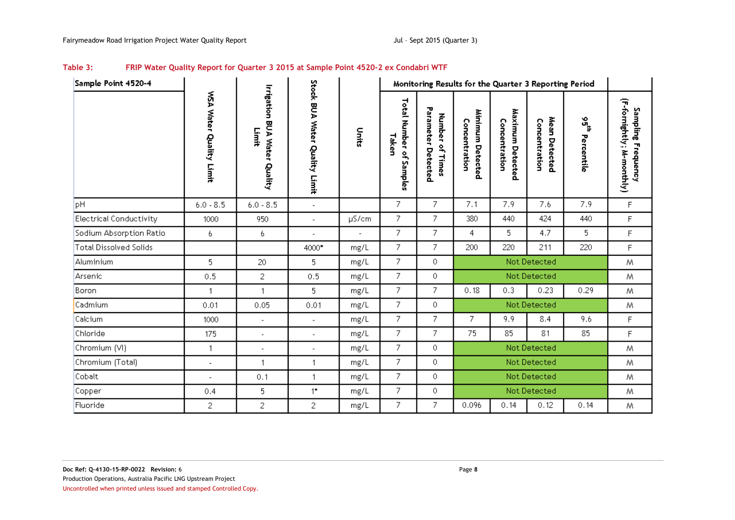| Table 3: | FRIP Water Quality Report for Quarter 3 2015 at Sample Point 4520-2 ex Condabri WTF |  |
|----------|-------------------------------------------------------------------------------------|--|
|----------|-------------------------------------------------------------------------------------|--|

<span id="page-11-0"></span>

| Sample Point 4520-4           |                         |                                          |                               |       |                                  | Monitoring Results for the Quarter 3 Reporting Period |                                   |                                   |                                |                                          |                                                 |
|-------------------------------|-------------------------|------------------------------------------|-------------------------------|-------|----------------------------------|-------------------------------------------------------|-----------------------------------|-----------------------------------|--------------------------------|------------------------------------------|-------------------------------------------------|
|                               | WSA Water Quality Limit | Irrigation<br>BUA Water Quality<br>Limit | Stock BUA Water Quality Limit | Units | Total Number of Samples<br>Taken | Parameter<br>Number of<br>Detected<br>Times           | Minimum Detected<br>Concentration | Maximum Detected<br>Concentration | Mean Detected<br>Concentration | $\mathcal{S}_{\mathbf{p}}$<br>Percentile | (F-fornightly; M-monthly)<br>Sampling Frequency |
| pH                            | $6.0 - 8.5$             | $6.0 - 8.5$                              | $\overline{\phantom{a}}$      |       | 7                                | 7                                                     | 7.1                               | 7.9                               | 7.6                            | 7.9                                      | $\mathsf{F}$                                    |
| Electrical Conductivity       | 1000                    | 950                                      | $\blacksquare$                | µS/cm | 7                                | 7                                                     | 380                               | 440                               | 424                            | 440                                      | F                                               |
| Sodium Absorption Ratio       | 6.                      | 6                                        | $\overline{a}$                |       | 7                                | 7                                                     | 4                                 | 5.                                | 4.7                            | 5.                                       | F                                               |
| <b>Total Dissolved Solids</b> |                         |                                          | 4000*                         | mg/L  | 7                                | $\overline{7}$                                        | 200                               | 220                               | 211                            | 220                                      | F                                               |
| Aluminium                     | 5                       | 20                                       | 5                             | mg/L  | 7.                               | 0                                                     |                                   |                                   | Not Detected                   |                                          | Μ                                               |
| Arsenic                       | 0.5                     | 2                                        | 0.5                           | mg/L  | 7                                | 0                                                     |                                   |                                   | Not Detected                   |                                          | Μ                                               |
| <b>Boron</b>                  | 1                       | $\mathbf{1}$                             | 5                             | mg/L  | 7                                | 7                                                     | 0.18                              | 0.3                               | 0.23                           | 0.29                                     | Μ                                               |
| Cadmium                       | 0.01                    | 0.05                                     | 0.01                          | mg/L  | 7                                | 0                                                     |                                   |                                   | Not Detected                   |                                          | Μ                                               |
| Calcium                       | 1000                    | $\overline{\phantom{a}}$                 | $\overline{a}$                | mg/L  | $\overline{7}$                   | $\overline{7}$                                        | 7                                 | 9.9                               | 8.4                            | 9.6                                      | F                                               |
| Chloride                      | 175                     | $\overline{\phantom{a}}$                 | $\overline{a}$                | mg/L  | 7.                               | 7                                                     | 75                                | 85                                | 81                             | 85                                       | F.                                              |
| Chromium (VI)                 | $\overline{1}$          | $\overline{\phantom{a}}$                 | $\overline{\phantom{a}}$      | mg/L  | 7                                | 0                                                     |                                   |                                   | Not Detected                   |                                          | M                                               |
| Chromium (Total)              | $\blacksquare$          | 1                                        | $\mathbf{1}$                  | mg/L  | 7.                               | 0                                                     | Not Detected                      |                                   |                                | M                                        |                                                 |
| Cobalt                        |                         | 0.1                                      | $\mathbf{1}$                  | mg/L  | 7                                | 0                                                     |                                   |                                   | Not Detected                   |                                          | Μ                                               |
| Copper                        | 0.4                     | 5                                        | $1^{\star}$                   | mg/L  | 7                                | 0                                                     | Not Detected                      |                                   |                                | Μ                                        |                                                 |
| Fluoride                      | 2                       | $\overline{c}$                           | 2                             | mg/L  | 7                                | 7                                                     | 0.096                             | 0.14                              | 0.12                           | 0.14                                     | Μ                                               |